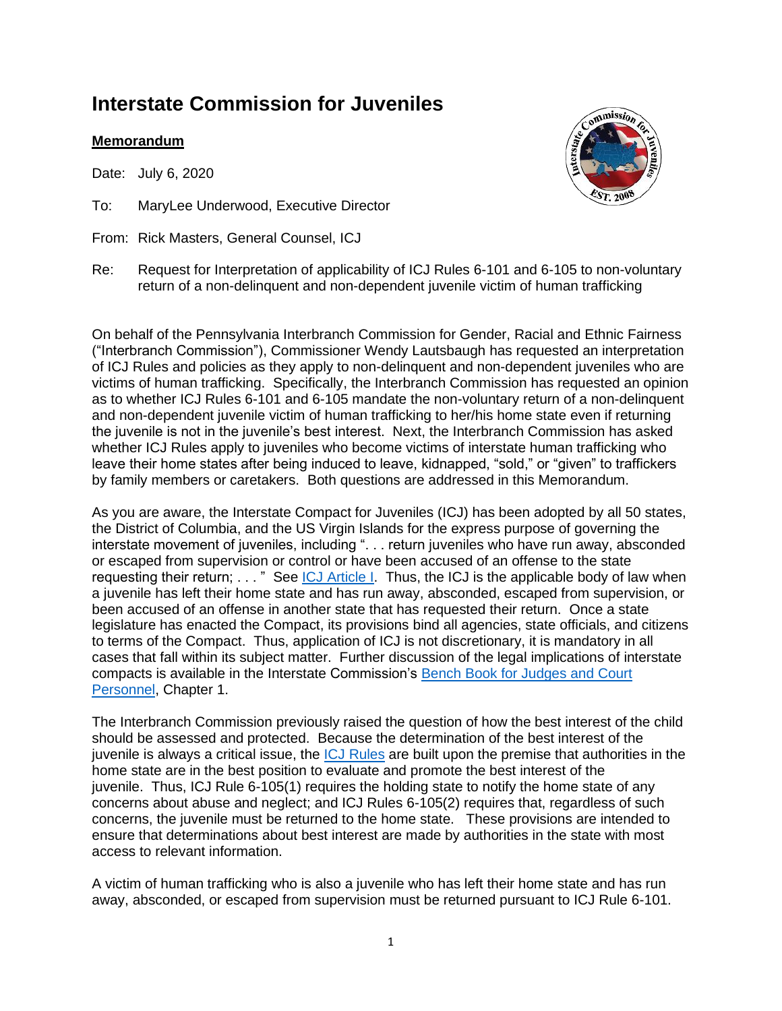## **Interstate Commission for Juveniles**

## **Memorandum**

Date: July 6, 2020

- To: MaryLee Underwood, Executive Director
- From: Rick Masters, General Counsel, ICJ



Re: Request for Interpretation of applicability of ICJ Rules 6-101 and 6-105 to non-voluntary return of a non-delinquent and non-dependent juvenile victim of human trafficking

On behalf of the Pennsylvania Interbranch Commission for Gender, Racial and Ethnic Fairness ("Interbranch Commission"), Commissioner Wendy Lautsbaugh has requested an interpretation of ICJ Rules and policies as they apply to non-delinquent and non-dependent juveniles who are victims of human trafficking. Specifically, the Interbranch Commission has requested an opinion as to whether ICJ Rules 6-101 and 6-105 mandate the non-voluntary return of a non-delinquent and non-dependent juvenile victim of human trafficking to her/his home state even if returning the juvenile is not in the juvenile's best interest. Next, the Interbranch Commission has asked whether ICJ Rules apply to juveniles who become victims of interstate human trafficking who leave their home states after being induced to leave, kidnapped, "sold," or "given" to traffickers by family members or caretakers. Both questions are addressed in this Memorandum.

As you are aware, the Interstate Compact for Juveniles (ICJ) has been adopted by all 50 states, the District of Columbia, and the US Virgin Islands for the express purpose of governing the interstate movement of juveniles, including ". . . return juveniles who have run away, absconded or escaped from supervision or control or have been accused of an offense to the state requesting their return; . . . " See [ICJ Article I.](https://linkprotect.cudasvc.com/url?a=https%3a%2f%2fwww.juvenilecompact.org%2fsites%2fdefault%2ffiles%2f2017-07%2fPA_Statute.pdf&c=E,1,N3oVrBZ0QFpCggQDL9-E_gKIlj01afHV-bVznFKrkCV_MOBmQFz-wFtQIZ16zCYkqDs-2sFugtk4z-DwM7ciscICP6rbSH8Q47IDk9lCzdctOps,&typo=1) Thus, the ICJ is the applicable body of law when a juvenile has left their home state and has run away, absconded, escaped from supervision, or been accused of an offense in another state that has requested their return. Once a state legislature has enacted the Compact, its provisions bind all agencies, state officials, and citizens to terms of the Compact. Thus, application of ICJ is not discretionary, it is mandatory in all cases that fall within its subject matter. Further discussion of the legal implications of interstate compacts is available in the Interstate Commission's [Bench Book for Judges and Court](https://linkprotect.cudasvc.com/url?a=https%3a%2f%2fwww.juvenilecompact.org%2fsites%2fdefault%2ffiles%2fBench%2520Book_Web.pdf&c=E,1,0TecOYaMlCycmGkrBA1b53X7q02OK3uYGauXFvsVT7aS73IlsmL3x8rvhlWJhbCmOoRFqreZ-luPxojbzQXXxOOv0nrW3x3uGHlO-pEM2tp8_wDBOH0,&typo=1)  [Personnel,](https://linkprotect.cudasvc.com/url?a=https%3a%2f%2fwww.juvenilecompact.org%2fsites%2fdefault%2ffiles%2fBench%2520Book_Web.pdf&c=E,1,0TecOYaMlCycmGkrBA1b53X7q02OK3uYGauXFvsVT7aS73IlsmL3x8rvhlWJhbCmOoRFqreZ-luPxojbzQXXxOOv0nrW3x3uGHlO-pEM2tp8_wDBOH0,&typo=1) Chapter 1.

The Interbranch Commission previously raised the question of how the best interest of the child should be assessed and protected. Because the determination of the best interest of the juvenile is always a critical issue, the [ICJ Rules](https://linkprotect.cudasvc.com/url?a=https%3a%2f%2fwww.juvenilecompact.org%2fsites%2fdefault%2ffiles%2fICJ%2520Rules_Final.pdf&c=E,1,tkZdZWrMlfPqtbNoNKDtJx4N1s7bIzxfKpI6a6J-Ek4oYEKWVEXgCK3sz2Li9eCffP56IRBXwXg3xo3S0gzoepeJg62bCyD2Qvjd7Gw6pdrjIkIdIqM,&typo=1) are built upon the premise that authorities in the home state are in the best position to evaluate and promote the best interest of the juvenile. Thus, ICJ Rule 6-105(1) requires the holding state to notify the home state of any concerns about abuse and neglect; and ICJ Rules 6-105(2) requires that, regardless of such concerns, the juvenile must be returned to the home state. These provisions are intended to ensure that determinations about best interest are made by authorities in the state with most access to relevant information.

A victim of human trafficking who is also a juvenile who has left their home state and has run away, absconded, or escaped from supervision must be returned pursuant to ICJ Rule 6-101.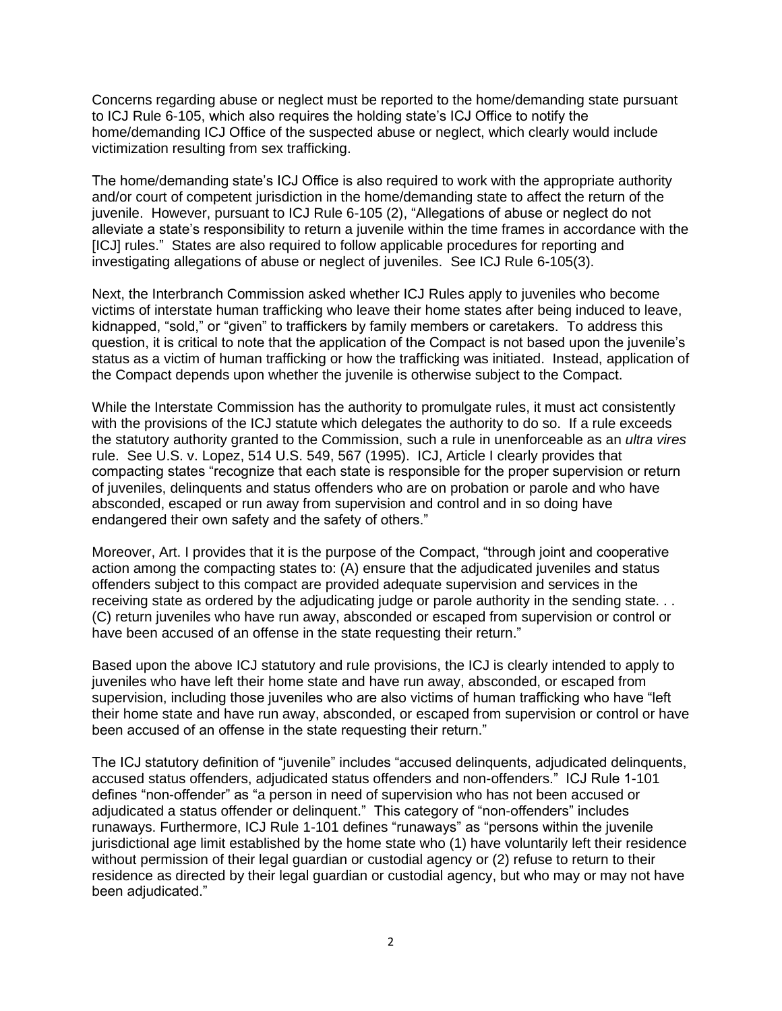Concerns regarding abuse or neglect must be reported to the home/demanding state pursuant to ICJ Rule 6-105, which also requires the holding state's ICJ Office to notify the home/demanding ICJ Office of the suspected abuse or neglect, which clearly would include victimization resulting from sex trafficking.

The home/demanding state's ICJ Office is also required to work with the appropriate authority and/or court of competent jurisdiction in the home/demanding state to affect the return of the juvenile. However, pursuant to ICJ Rule 6-105 (2), "Allegations of abuse or neglect do not alleviate a state's responsibility to return a juvenile within the time frames in accordance with the [ICJ] rules." States are also required to follow applicable procedures for reporting and investigating allegations of abuse or neglect of juveniles. See ICJ Rule 6-105(3).

Next, the Interbranch Commission asked whether ICJ Rules apply to juveniles who become victims of interstate human trafficking who leave their home states after being induced to leave, kidnapped, "sold," or "given" to traffickers by family members or caretakers. To address this question, it is critical to note that the application of the Compact is not based upon the juvenile's status as a victim of human trafficking or how the trafficking was initiated. Instead, application of the Compact depends upon whether the juvenile is otherwise subject to the Compact.

While the Interstate Commission has the authority to promulgate rules, it must act consistently with the provisions of the ICJ statute which delegates the authority to do so. If a rule exceeds the statutory authority granted to the Commission, such a rule in unenforceable as an *ultra vires* rule. See U.S. v. Lopez, 514 U.S. 549, 567 (1995). ICJ, Article I clearly provides that compacting states "recognize that each state is responsible for the proper supervision or return of juveniles, delinquents and status offenders who are on probation or parole and who have absconded, escaped or run away from supervision and control and in so doing have endangered their own safety and the safety of others."

Moreover, Art. I provides that it is the purpose of the Compact, "through joint and cooperative action among the compacting states to: (A) ensure that the adjudicated juveniles and status offenders subject to this compact are provided adequate supervision and services in the receiving state as ordered by the adjudicating judge or parole authority in the sending state. . . (C) return juveniles who have run away, absconded or escaped from supervision or control or have been accused of an offense in the state requesting their return."

Based upon the above ICJ statutory and rule provisions, the ICJ is clearly intended to apply to juveniles who have left their home state and have run away, absconded, or escaped from supervision, including those juveniles who are also victims of human trafficking who have "left their home state and have run away, absconded, or escaped from supervision or control or have been accused of an offense in the state requesting their return."

The ICJ statutory definition of "juvenile" includes "accused delinquents, adjudicated delinquents, accused status offenders, adjudicated status offenders and non-offenders." ICJ Rule 1-101 defines "non-offender" as "a person in need of supervision who has not been accused or adjudicated a status offender or delinquent." This category of "non-offenders" includes runaways. Furthermore, ICJ Rule 1-101 defines "runaways" as "persons within the juvenile jurisdictional age limit established by the home state who (1) have voluntarily left their residence without permission of their legal guardian or custodial agency or (2) refuse to return to their residence as directed by their legal guardian or custodial agency, but who may or may not have been adjudicated."